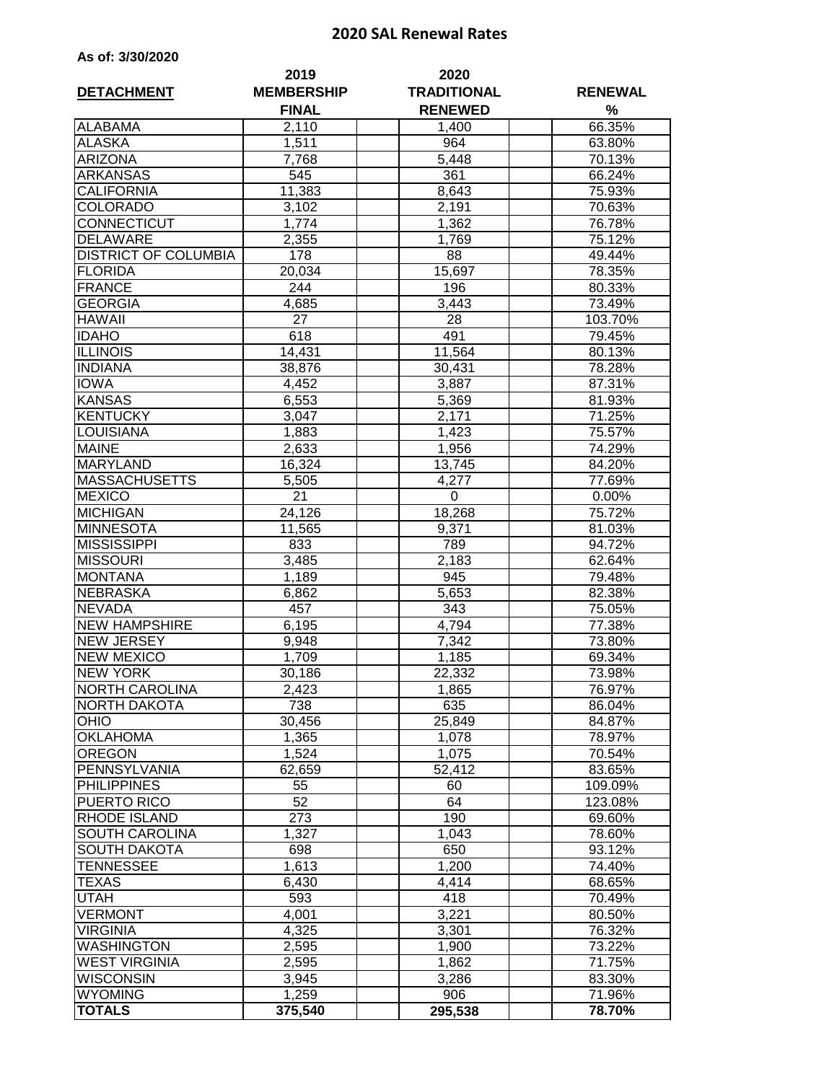## **2020 SAL Renewal Rates**

| As of: 3/30/2020 |  |  |
|------------------|--|--|
|------------------|--|--|

| <b>DETACHMENT</b>           | 2019<br><b>MEMBERSHIP</b><br><b>FINAL</b> | 2020<br><b>TRADITIONAL</b><br><b>RENEWED</b> | <b>RENEWAL</b><br>$\%$ |  |  |
|-----------------------------|-------------------------------------------|----------------------------------------------|------------------------|--|--|
| <b>ALABAMA</b>              | 2,110                                     | 1,400                                        | 66.35%                 |  |  |
| <b>ALASKA</b>               | 1,511                                     | 964                                          | 63.80%                 |  |  |
| <b>ARIZONA</b>              | 7,768                                     | 5,448                                        | 70.13%                 |  |  |
| <b>ARKANSAS</b>             | 545                                       | 361                                          | 66.24%                 |  |  |
| <b>CALIFORNIA</b>           | 11,383                                    | 8,643                                        | 75.93%                 |  |  |
| <b>COLORADO</b>             | 3,102                                     | 2,191                                        | 70.63%                 |  |  |
| <b>CONNECTICUT</b>          | 1,774                                     | 1,362                                        | 76.78%                 |  |  |
| <b>DELAWARE</b>             | 2,355                                     | 1,769                                        | 75.12%                 |  |  |
| <b>DISTRICT OF COLUMBIA</b> | 178                                       | 88                                           | 49.44%                 |  |  |
| <b>FLORIDA</b>              | 20,034                                    | 15,697                                       | 78.35%                 |  |  |
| <b>FRANCE</b>               | 244                                       | 196                                          | 80.33%                 |  |  |
| <b>GEORGIA</b>              | 4,685                                     | 3,443                                        | 73.49%                 |  |  |
| <b>HAWAII</b>               | 27                                        | 28                                           | 103.70%                |  |  |
| <b>IDAHO</b>                | 618                                       | 491                                          | 79.45%                 |  |  |
| <b>ILLINOIS</b>             | 14,431                                    | 11,564                                       | 80.13%                 |  |  |
| <b>INDIANA</b>              | 38,876                                    | 30,431                                       | 78.28%                 |  |  |
| <b>IOWA</b>                 | 4,452                                     | 3,887                                        | 87.31%                 |  |  |
| <b>KANSAS</b>               | 6,553                                     | 5,369                                        | 81.93%                 |  |  |
| KENTUCKY                    | 3,047                                     | 2,171                                        | 71.25%                 |  |  |
| <b>LOUISIANA</b>            | 1,883                                     | 1,423                                        | 75.57%                 |  |  |
| <b>MAINE</b>                | 2,633                                     | 1,956                                        | 74.29%                 |  |  |
| <b>MARYLAND</b>             | 16,324                                    | 13,745                                       | 84.20%                 |  |  |
| <b>MASSACHUSETTS</b>        | 5,505                                     | 4,277                                        | 77.69%                 |  |  |
| <b>MEXICO</b>               | $\overline{2}1$                           | 0                                            | 0.00%                  |  |  |
| <b>MICHIGAN</b>             | 24,126                                    | 18,268                                       | 75.72%                 |  |  |
| <b>MINNESOTA</b>            | 11,565                                    | 9,371                                        | 81.03%                 |  |  |
| <b>MISSISSIPPI</b>          | 833                                       | 789                                          | 94.72%                 |  |  |
| <b>MISSOURI</b>             | 3,485                                     | 2,183                                        | 62.64%                 |  |  |
| <b>MONTANA</b>              | 1,189                                     | 945                                          | 79.48%                 |  |  |
| <b>NEBRASKA</b>             | 6,862                                     | 5,653                                        | 82.38%                 |  |  |
| <b>NEVADA</b>               | 457                                       | 343                                          | 75.05%                 |  |  |
| <b>NEW HAMPSHIRE</b>        | 6,195                                     | 4,794                                        | 77.38%                 |  |  |
| <b>NEW JERSEY</b>           | 9,948                                     | 7,342                                        | 73.80%                 |  |  |
| <b>NEW MEXICO</b>           | 1,709                                     | 1,185                                        | 69.34%                 |  |  |
| <b>NEW YORK</b>             | 30,186                                    | 22,332                                       | 73.98%                 |  |  |
| <b>NORTH CAROLINA</b>       | 2,423                                     | 1,865                                        | 76.97%                 |  |  |
| <b>NORTH DAKOTA</b>         | 738                                       | 635                                          | 86.04%                 |  |  |
| <b>OHIO</b>                 | 30,456                                    | 25,849                                       | 84.87%                 |  |  |
| <b>OKLAHOMA</b>             | 1,365                                     | 1,078                                        | 78.97%                 |  |  |
| <b>OREGON</b>               | 1,524                                     | 1,075                                        | 70.54%                 |  |  |
| PENNSYLVANIA                | 62,659                                    | 52,412                                       | 83.65%                 |  |  |
| <b>PHILIPPINES</b>          | 55                                        | 60                                           | 109.09%                |  |  |
| <b>PUERTO RICO</b>          | 52                                        | 64                                           | 123.08%                |  |  |
| <b>RHODE ISLAND</b>         | 273                                       | 190                                          | 69.60%                 |  |  |
| <b>SOUTH CAROLINA</b>       | 1,327                                     | 1,043                                        | 78.60%                 |  |  |
| <b>SOUTH DAKOTA</b>         | 698                                       | 650                                          | 93.12%                 |  |  |
| <b>TENNESSEE</b>            | 1,613                                     | 1,200                                        | 74.40%                 |  |  |
| <b>TEXAS</b>                | 6,430                                     | 4,414                                        | 68.65%                 |  |  |
| <b>UTAH</b>                 | 593                                       | 418                                          | 70.49%                 |  |  |
| <b>VERMONT</b>              | 4,001                                     | 3,221                                        | 80.50%                 |  |  |
| <b>VIRGINIA</b>             | 4,325                                     | 3,301                                        | 76.32%                 |  |  |
| <b>WASHINGTON</b>           | 2,595                                     | 1,900                                        | 73.22%                 |  |  |
| <b>WEST VIRGINIA</b>        | 2,595                                     | 1,862                                        | 71.75%                 |  |  |
| <b>WISCONSIN</b>            | 3,945                                     | 3,286                                        | 83.30%                 |  |  |
| <b>WYOMING</b>              | 1,259                                     | 906                                          | 71.96%                 |  |  |
| <b>TOTALS</b>               | 375,540                                   | 295,538                                      | 78.70%                 |  |  |